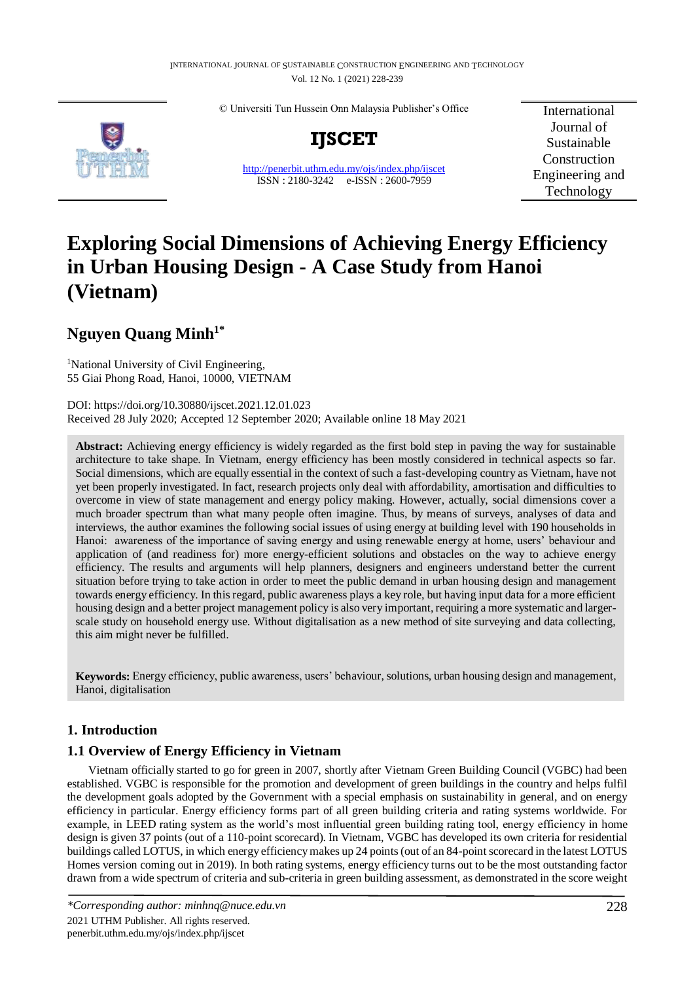© Universiti Tun Hussein Onn Malaysia Publisher's Office



**IJSCET**

<http://penerbit.uthm.edu.my/ojs/index.php/ijscet> ISSN : 2180-3242 e-ISSN : 2600-7959

International Journal of Sustainable Construction Engineering and Technology

# **Exploring Social Dimensions of Achieving Energy Efficiency in Urban Housing Design - A Case Study from Hanoi (Vietnam)**

## **Nguyen Quang Minh1\***

<sup>1</sup>National University of Civil Engineering, 55 Giai Phong Road, Hanoi, 10000, VIETNAM

DOI: https://doi.org/10.30880/ijscet.2021.12.01.023 Received 28 July 2020; Accepted 12 September 2020; Available online 18 May 2021

**Abstract:** Achieving energy efficiency is widely regarded as the first bold step in paving the way for sustainable architecture to take shape. In Vietnam, energy efficiency has been mostly considered in technical aspects so far. Social dimensions, which are equally essential in the context of such a fast-developing country as Vietnam, have not yet been properly investigated. In fact, research projects only deal with affordability, amortisation and difficulties to overcome in view of state management and energy policy making. However, actually, social dimensions cover a much broader spectrum than what many people often imagine. Thus, by means of surveys, analyses of data and interviews, the author examines the following social issues of using energy at building level with 190 households in Hanoi: awareness of the importance of saving energy and using renewable energy at home, users' behaviour and application of (and readiness for) more energy-efficient solutions and obstacles on the way to achieve energy efficiency. The results and arguments will help planners, designers and engineers understand better the current situation before trying to take action in order to meet the public demand in urban housing design and management towards energy efficiency. In this regard, public awareness plays a key role, but having input data for a more efficient housing design and a better project management policy is also very important, requiring a more systematic and largerscale study on household energy use. Without digitalisation as a new method of site surveying and data collecting, this aim might never be fulfilled.

**Keywords:** Energy efficiency, public awareness, users' behaviour, solutions, urban housing design and management, Hanoi, digitalisation

## **1. Introduction**

## **1.1 Overview of Energy Efficiency in Vietnam**

Vietnam officially started to go for green in 2007, shortly after Vietnam Green Building Council (VGBC) had been established. VGBC is responsible for the promotion and development of green buildings in the country and helps fulfil the development goals adopted by the Government with a special emphasis on sustainability in general, and on energy efficiency in particular. Energy efficiency forms part of all green building criteria and rating systems worldwide. For example, in LEED rating system as the world's most influential green building rating tool, energy efficiency in home design is given 37 points (out of a 110-point scorecard). In Vietnam, VGBC has developed its own criteria for residential buildings called LOTUS, in which energy efficiency makes up 24 points (out of an 84-point scorecard in the latest LOTUS Homes version coming out in 2019). In both rating systems, energy efficiency turns out to be the most outstanding factor drawn from a wide spectrum of criteria and sub-criteria in green building assessment, as demonstrated in the score weight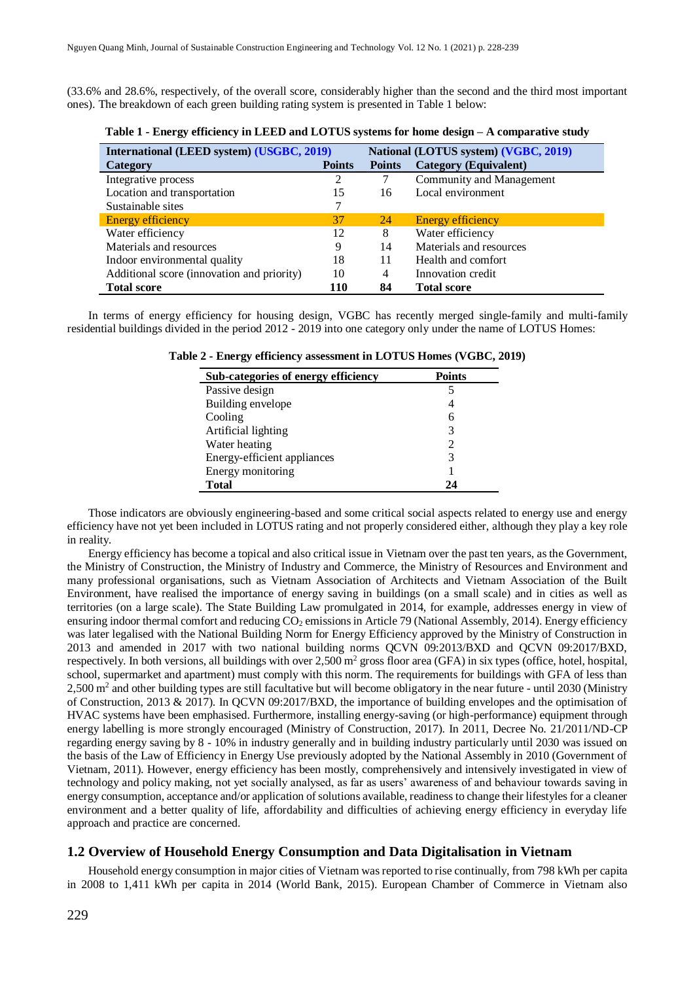(33.6% and 28.6%, respectively, of the overall score, considerably higher than the second and the third most important ones). The breakdown of each green building rating system is presented in Table 1 below:

| International (LEED system) (USGBC, 2019)  |               |                | National (LOTUS system) (VGBC, 2019) |  |  |
|--------------------------------------------|---------------|----------------|--------------------------------------|--|--|
| Category                                   | <b>Points</b> | <b>Points</b>  | <b>Category (Equivalent)</b>         |  |  |
| Integrative process                        | 2             | 7              | Community and Management             |  |  |
| Location and transportation                | 15            | 16             | Local environment                    |  |  |
| Sustainable sites                          |               |                |                                      |  |  |
| Energy efficiency                          | 37            | 24             | Energy efficiency                    |  |  |
| Water efficiency                           | 12            | 8              | Water efficiency                     |  |  |
| Materials and resources                    | 9             | 14             | Materials and resources              |  |  |
| Indoor environmental quality               | 18            | 11             | Health and comfort                   |  |  |
| Additional score (innovation and priority) | 10            | $\overline{4}$ | Innovation credit                    |  |  |
| <b>Total score</b>                         | 110           | 84             | <b>Total score</b>                   |  |  |

**Table 1 - Energy efficiency in LEED and LOTUS systems for home design – A comparative study**

In terms of energy efficiency for housing design, VGBC has recently merged single-family and multi-family residential buildings divided in the period 2012 - 2019 into one category only under the name of LOTUS Homes:

| Sub-categories of energy efficiency | <b>Points</b> |
|-------------------------------------|---------------|
| Passive design                      |               |
| Building envelope                   | 4             |
| Cooling                             | 6             |
| Artificial lighting                 | 3             |
| Water heating                       | 2             |
| Energy-efficient appliances         | 3             |
| Energy monitoring                   |               |
| <b>Total</b>                        | 74            |

**Table 2 - Energy efficiency assessment in LOTUS Homes (VGBC, 2019)**

Those indicators are obviously engineering-based and some critical social aspects related to energy use and energy efficiency have not yet been included in LOTUS rating and not properly considered either, although they play a key role in reality.

Energy efficiency has become a topical and also critical issue in Vietnam over the past ten years, as the Government, the Ministry of Construction, the Ministry of Industry and Commerce, the Ministry of Resources and Environment and many professional organisations, such as Vietnam Association of Architects and Vietnam Association of the Built Environment, have realised the importance of energy saving in buildings (on a small scale) and in cities as well as territories (on a large scale). The State Building Law promulgated in 2014, for example, addresses energy in view of ensuring indoor thermal comfort and reducing  $CO<sub>2</sub>$  emissions in Article 79 (National Assembly, 2014). Energy efficiency was later legalised with the National Building Norm for Energy Efficiency approved by the Ministry of Construction in 2013 and amended in 2017 with two national building norms QCVN 09:2013/BXD and QCVN 09:2017/BXD, respectively. In both versions, all buildings with over 2,500  $m^2$  gross floor area (GFA) in six types (office, hotel, hospital, school, supermarket and apartment) must comply with this norm. The requirements for buildings with GFA of less than 2,500 m<sup>2</sup> and other building types are still facultative but will become obligatory in the near future - until 2030 (Ministry of Construction, 2013 & 2017). In QCVN 09:2017/BXD, the importance of building envelopes and the optimisation of HVAC systems have been emphasised. Furthermore, installing energy-saving (or high-performance) equipment through energy labelling is more strongly encouraged (Ministry of Construction, 2017). In 2011, Decree No. 21/2011/ND-CP regarding energy saving by 8 - 10% in industry generally and in building industry particularly until 2030 was issued on the basis of the Law of Efficiency in Energy Use previously adopted by the National Assembly in 2010 (Government of Vietnam, 2011). However, energy efficiency has been mostly, comprehensively and intensively investigated in view of technology and policy making, not yet socially analysed, as far as users' awareness of and behaviour towards saving in energy consumption, acceptance and/or application of solutions available, readiness to change their lifestyles for a cleaner environment and a better quality of life, affordability and difficulties of achieving energy efficiency in everyday life approach and practice are concerned.

#### **1.2 Overview of Household Energy Consumption and Data Digitalisation in Vietnam**

Household energy consumption in major cities of Vietnam was reported to rise continually, from 798 kWh per capita in 2008 to 1,411 kWh per capita in 2014 (World Bank, 2015). European Chamber of Commerce in Vietnam also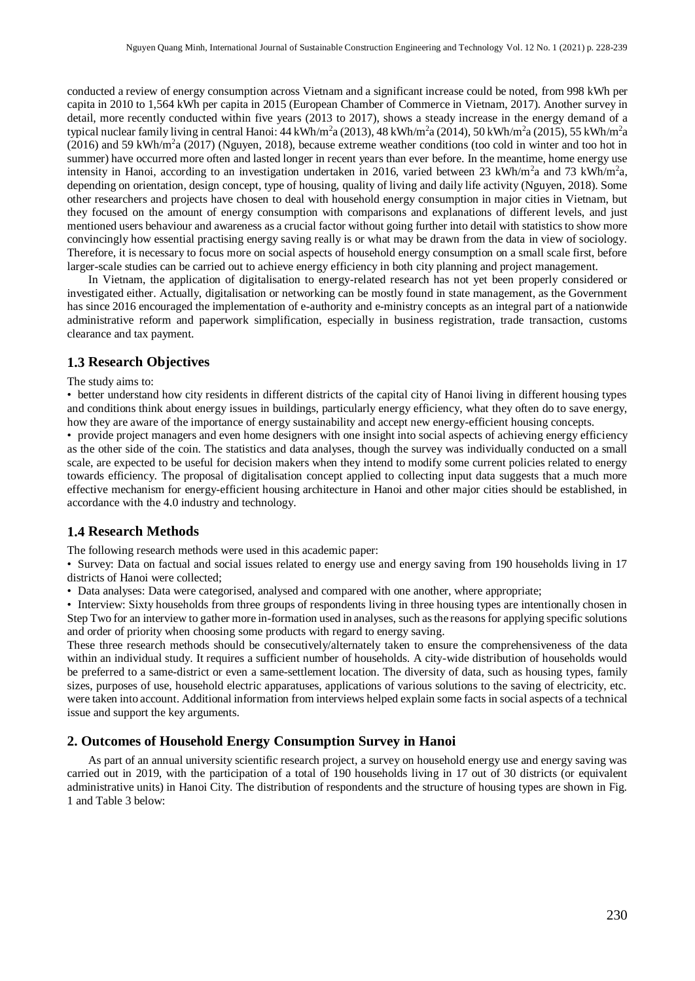conducted a review of energy consumption across Vietnam and a significant increase could be noted, from 998 kWh per capita in 2010 to 1,564 kWh per capita in 2015 (European Chamber of Commerce in Vietnam, 2017). Another survey in detail, more recently conducted within five years (2013 to 2017), shows a steady increase in the energy demand of a typical nuclear family living in central Hanoi: 44 kWh/m<sup>2</sup>a (2013), 48 kWh/m<sup>2</sup>a (2014), 50 kWh/m<sup>2</sup>a (2015), 55 kWh/m<sup>2</sup>a  $(2016)$  and 59 kWh/m<sup>2</sup>a (2017) (Nguyen, 2018), because extreme weather conditions (too cold in winter and too hot in summer) have occurred more often and lasted longer in recent years than ever before. In the meantime, home energy use intensity in Hanoi, according to an investigation undertaken in 2016, varied between 23 kWh/m<sup>2</sup>a and 73 kWh/m<sup>2</sup>a, depending on orientation, design concept, type of housing, quality of living and daily life activity (Nguyen, 2018). Some other researchers and projects have chosen to deal with household energy consumption in major cities in Vietnam, but they focused on the amount of energy consumption with comparisons and explanations of different levels, and just mentioned users behaviour and awareness as a crucial factor without going further into detail with statistics to show more convincingly how essential practising energy saving really is or what may be drawn from the data in view of sociology. Therefore, it is necessary to focus more on social aspects of household energy consumption on a small scale first, before larger-scale studies can be carried out to achieve energy efficiency in both city planning and project management.

In Vietnam, the application of digitalisation to energy-related research has not yet been properly considered or investigated either. Actually, digitalisation or networking can be mostly found in state management, as the Government has since 2016 encouraged the implementation of e-authority and e-ministry concepts as an integral part of a nationwide administrative reform and paperwork simplification, especially in business registration, trade transaction, customs clearance and tax payment.

#### **1.3 Research Objectives**

The study aims to:

• better understand how city residents in different districts of the capital city of Hanoi living in different housing types and conditions think about energy issues in buildings, particularly energy efficiency, what they often do to save energy, how they are aware of the importance of energy sustainability and accept new energy-efficient housing concepts.

• provide project managers and even home designers with one insight into social aspects of achieving energy efficiency as the other side of the coin. The statistics and data analyses, though the survey was individually conducted on a small scale, are expected to be useful for decision makers when they intend to modify some current policies related to energy towards efficiency. The proposal of digitalisation concept applied to collecting input data suggests that a much more effective mechanism for energy-efficient housing architecture in Hanoi and other major cities should be established, in accordance with the 4.0 industry and technology.

#### **1.4 Research Methods**

The following research methods were used in this academic paper:

• Survey: Data on factual and social issues related to energy use and energy saving from 190 households living in 17 districts of Hanoi were collected;

• Data analyses: Data were categorised, analysed and compared with one another, where appropriate;

• Interview: Sixty households from three groups of respondents living in three housing types are intentionally chosen in Step Two for an interview to gather more in-formation used in analyses, such as the reasons for applying specific solutions and order of priority when choosing some products with regard to energy saving.

These three research methods should be consecutively/alternately taken to ensure the comprehensiveness of the data within an individual study. It requires a sufficient number of households. A city-wide distribution of households would be preferred to a same-district or even a same-settlement location. The diversity of data, such as housing types, family sizes, purposes of use, household electric apparatuses, applications of various solutions to the saving of electricity, etc. were taken into account. Additional information from interviews helped explain some facts in social aspects of a technical issue and support the key arguments.

#### **2. Outcomes of Household Energy Consumption Survey in Hanoi**

As part of an annual university scientific research project, a survey on household energy use and energy saving was carried out in 2019, with the participation of a total of 190 households living in 17 out of 30 districts (or equivalent administrative units) in Hanoi City. The distribution of respondents and the structure of housing types are shown in Fig. 1 and Table 3 below: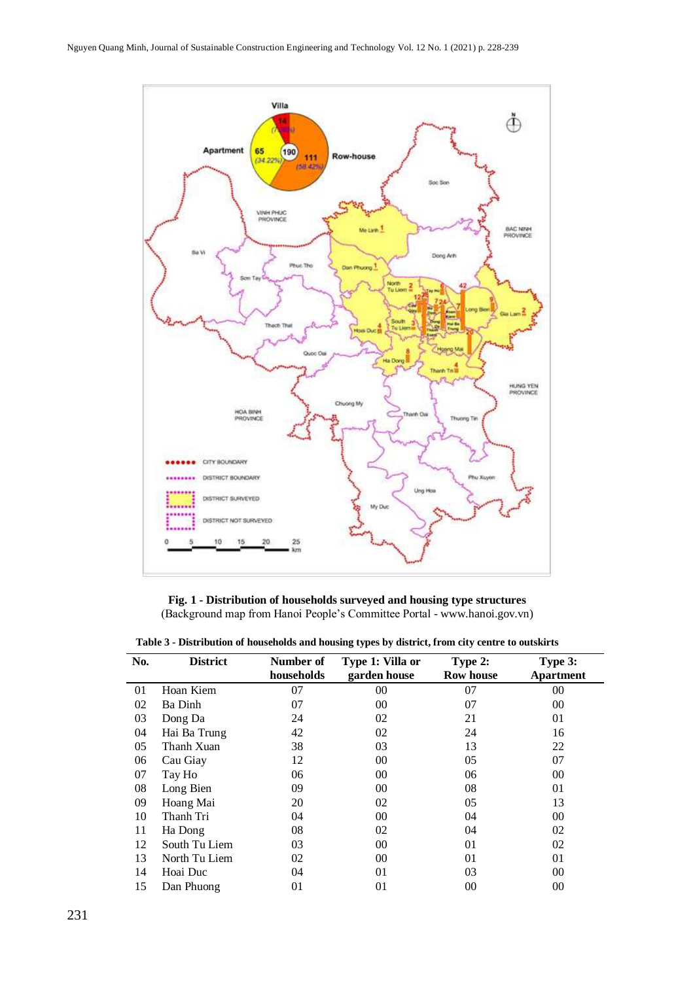

**Fig. 1 - Distribution of households surveyed and housing type structures** (Background map from Hanoi People's Committee Portal - www.hanoi.gov.vn)

|  |  | Table 3 - Distribution of households and housing types by district, from city centre to outskirts |  |
|--|--|---------------------------------------------------------------------------------------------------|--|
|  |  |                                                                                                   |  |

| No. | <b>District</b> | Number of  | Type 1: Villa or | Type 2:          | Type 3:          |
|-----|-----------------|------------|------------------|------------------|------------------|
|     |                 | households | garden house     | <b>Row house</b> | <b>Apartment</b> |
| 01  | Hoan Kiem       | 07         | 00               | 07               | $00\,$           |
| 02  | Ba Dinh         | 07         | 00               | 07               | $00\,$           |
| 03  | Dong Da         | 24         | 02               | 21               | 01               |
| 04  | Hai Ba Trung    | 42         | 02               | 24               | 16               |
| 05  | Thanh Xuan      | 38         | 03               | 13               | 22               |
| 06  | Cau Giay        | 12         | 00               | 05               | 07               |
| 07  | Tay Ho          | 06         | 00               | 06               | $00\,$           |
| 08  | Long Bien       | 09         | 00               | 08               | 01               |
| 09  | Hoang Mai       | 20         | 02               | 05               | 13               |
| 10  | Thanh Tri       | 04         | 00               | 04               | $00\,$           |
| 11  | Ha Dong         | 08         | 02               | 04               | 02               |
| 12  | South Tu Liem   | 03         | 00               | 01               | 02               |
| 13  | North Tu Liem   | 02         | 00               | 01               | 01               |
| 14  | Hoai Duc        | 04         | 01               | 03               | 00               |
| 15  | Dan Phuong      | 01         | 01               | 00               | 00               |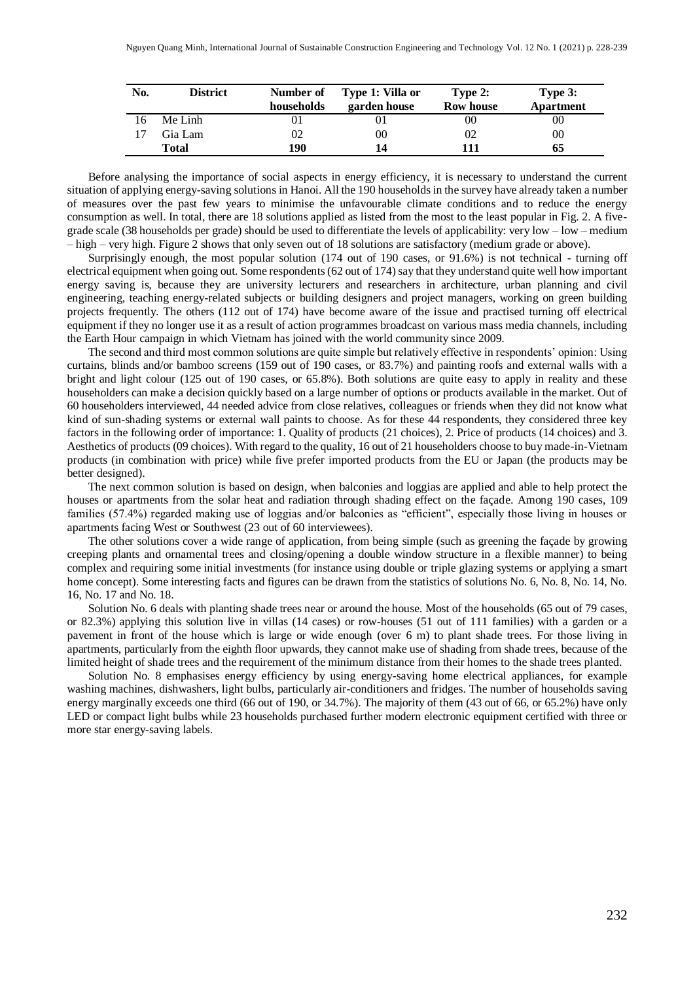| No. | <b>District</b> | Number of<br>households | Type 1: Villa or<br>garden house | Type 2:<br><b>Row house</b> | Type 3:<br><b>Apartment</b> |
|-----|-----------------|-------------------------|----------------------------------|-----------------------------|-----------------------------|
|     | Me Linh         |                         |                                  | 00                          | 00                          |
|     | Gia Lam         | 02                      | 00                               | $^{02}$                     | 00                          |
|     | Total           | 190                     | 14                               | 111                         | 65                          |

Before analysing the importance of social aspects in energy efficiency, it is necessary to understand the current situation of applying energy-saving solutions in Hanoi. All the 190 households in the survey have already taken a number of measures over the past few years to minimise the unfavourable climate conditions and to reduce the energy consumption as well. In total, there are 18 solutions applied as listed from the most to the least popular in Fig. 2. A fivegrade scale (38 households per grade) should be used to differentiate the levels of applicability: very low – low – medium – high – very high. Figure 2 shows that only seven out of 18 solutions are satisfactory (medium grade or above).

Surprisingly enough, the most popular solution (174 out of 190 cases, or 91.6%) is not technical - turning off electrical equipment when going out. Some respondents (62 out of 174) say that they understand quite well how important energy saving is, because they are university lecturers and researchers in architecture, urban planning and civil engineering, teaching energy-related subjects or building designers and project managers, working on green building projects frequently. The others (112 out of 174) have become aware of the issue and practised turning off electrical equipment if they no longer use it as a result of action programmes broadcast on various mass media channels, including the Earth Hour campaign in which Vietnam has joined with the world community since 2009.

The second and third most common solutions are quite simple but relatively effective in respondents' opinion: Using curtains, blinds and/or bamboo screens (159 out of 190 cases, or 83.7%) and painting roofs and external walls with a bright and light colour (125 out of 190 cases, or 65.8%). Both solutions are quite easy to apply in reality and these householders can make a decision quickly based on a large number of options or products available in the market. Out of 60 householders interviewed, 44 needed advice from close relatives, colleagues or friends when they did not know what kind of sun-shading systems or external wall paints to choose. As for these 44 respondents, they considered three key factors in the following order of importance: 1. Quality of products (21 choices), 2. Price of products (14 choices) and 3. Aesthetics of products (09 choices). With regard to the quality, 16 out of 21 householders choose to buy made-in-Vietnam products (in combination with price) while five prefer imported products from the EU or Japan (the products may be better designed).

The next common solution is based on design, when balconies and loggias are applied and able to help protect the houses or apartments from the solar heat and radiation through shading effect on the façade. Among 190 cases, 109 families (57.4%) regarded making use of loggias and/or balconies as "efficient", especially those living in houses or apartments facing West or Southwest (23 out of 60 interviewees).

The other solutions cover a wide range of application, from being simple (such as greening the façade by growing creeping plants and ornamental trees and closing/opening a double window structure in a flexible manner) to being complex and requiring some initial investments (for instance using double or triple glazing systems or applying a smart home concept). Some interesting facts and figures can be drawn from the statistics of solutions No. 6, No. 8, No. 14, No. 16, No. 17 and No. 18.

Solution No. 6 deals with planting shade trees near or around the house. Most of the households (65 out of 79 cases, or 82.3%) applying this solution live in villas (14 cases) or row-houses (51 out of 111 families) with a garden or a pavement in front of the house which is large or wide enough (over 6 m) to plant shade trees. For those living in apartments, particularly from the eighth floor upwards, they cannot make use of shading from shade trees, because of the limited height of shade trees and the requirement of the minimum distance from their homes to the shade trees planted.

Solution No. 8 emphasises energy efficiency by using energy-saving home electrical appliances, for example washing machines, dishwashers, light bulbs, particularly air-conditioners and fridges. The number of households saving energy marginally exceeds one third (66 out of 190, or 34.7%). The majority of them (43 out of 66, or 65.2%) have only LED or compact light bulbs while 23 households purchased further modern electronic equipment certified with three or more star energy-saving labels.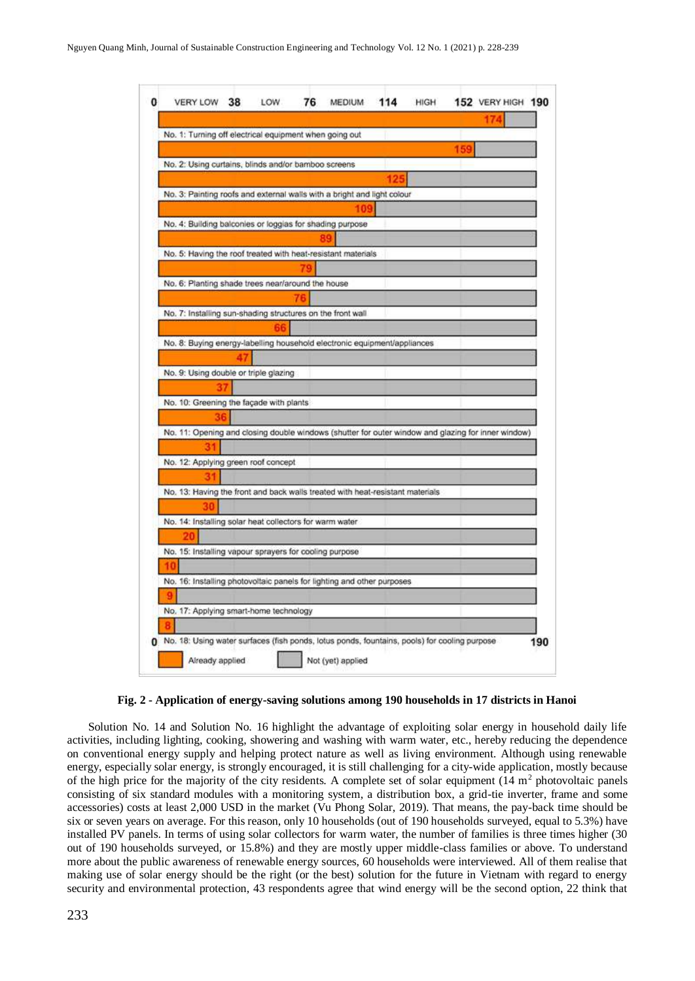

**Fig. 2 - Application of energy-saving solutions among 190 households in 17 districts in Hanoi**

Solution No. 14 and Solution No. 16 highlight the advantage of exploiting solar energy in household daily life activities, including lighting, cooking, showering and washing with warm water, etc., hereby reducing the dependence on conventional energy supply and helping protect nature as well as living environment. Although using renewable energy, especially solar energy, is strongly encouraged, it is still challenging for a city-wide application, mostly because of the high price for the majority of the city residents. A complete set of solar equipment  $(14 \text{ m}^2 \text{ photovoltaic panels})$ consisting of six standard modules with a monitoring system, a distribution box, a grid-tie inverter, frame and some accessories) costs at least 2,000 USD in the market (Vu Phong Solar, 2019). That means, the pay-back time should be six or seven years on average. For this reason, only 10 households (out of 190 households surveyed, equal to 5.3%) have installed PV panels. In terms of using solar collectors for warm water, the number of families is three times higher (30 out of 190 households surveyed, or 15.8%) and they are mostly upper middle-class families or above. To understand more about the public awareness of renewable energy sources, 60 households were interviewed. All of them realise that making use of solar energy should be the right (or the best) solution for the future in Vietnam with regard to energy security and environmental protection, 43 respondents agree that wind energy will be the second option, 22 think that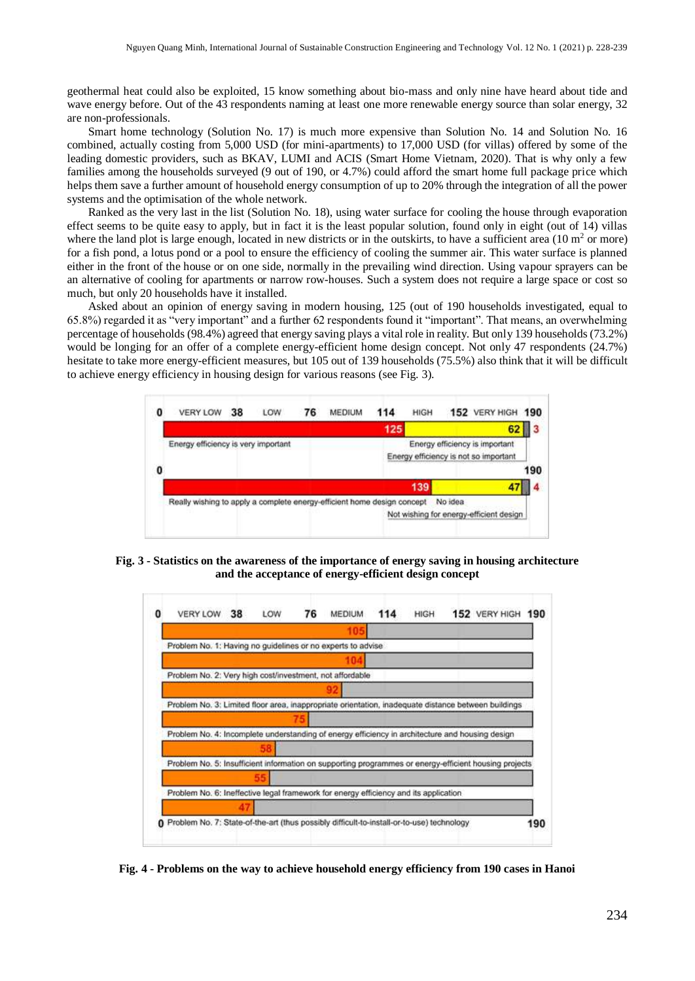geothermal heat could also be exploited, 15 know something about bio-mass and only nine have heard about tide and wave energy before. Out of the 43 respondents naming at least one more renewable energy source than solar energy, 32 are non-professionals.

Smart home technology (Solution No. 17) is much more expensive than Solution No. 14 and Solution No. 16 combined, actually costing from 5,000 USD (for mini-apartments) to 17,000 USD (for villas) offered by some of the leading domestic providers, such as BKAV, LUMI and ACIS (Smart Home Vietnam, 2020). That is why only a few families among the households surveyed (9 out of 190, or 4.7%) could afford the smart home full package price which helps them save a further amount of household energy consumption of up to 20% through the integration of all the power systems and the optimisation of the whole network.

Ranked as the very last in the list (Solution No. 18), using water surface for cooling the house through evaporation effect seems to be quite easy to apply, but in fact it is the least popular solution, found only in eight (out of 14) villas where the land plot is large enough, located in new districts or in the outskirts, to have a sufficient area  $(10 \text{ m}^2 \text{ or more})$ for a fish pond, a lotus pond or a pool to ensure the efficiency of cooling the summer air. This water surface is planned either in the front of the house or on one side, normally in the prevailing wind direction. Using vapour sprayers can be an alternative of cooling for apartments or narrow row-houses. Such a system does not require a large space or cost so much, but only 20 households have it installed.

Asked about an opinion of energy saving in modern housing, 125 (out of 190 households investigated, equal to 65.8%) regarded it as "very important" and a further 62 respondents found it "important". That means, an overwhelming percentage of households (98.4%) agreed that energy saving plays a vital role in reality. But only 139 households (73.2%) would be longing for an offer of a complete energy-efficient home design concept. Not only 47 respondents (24.7%) hesitate to take more energy-efficient measures, but 105 out of 139 households (75.5%) also think that it will be difficult to achieve energy efficiency in housing design for various reasons (see Fig. 3).



**Fig. 3 - Statistics on the awareness of the importance of energy saving in housing architecture and the acceptance of energy-efficient design concept**



**Fig. 4 - Problems on the way to achieve household energy efficiency from 190 cases in Hanoi**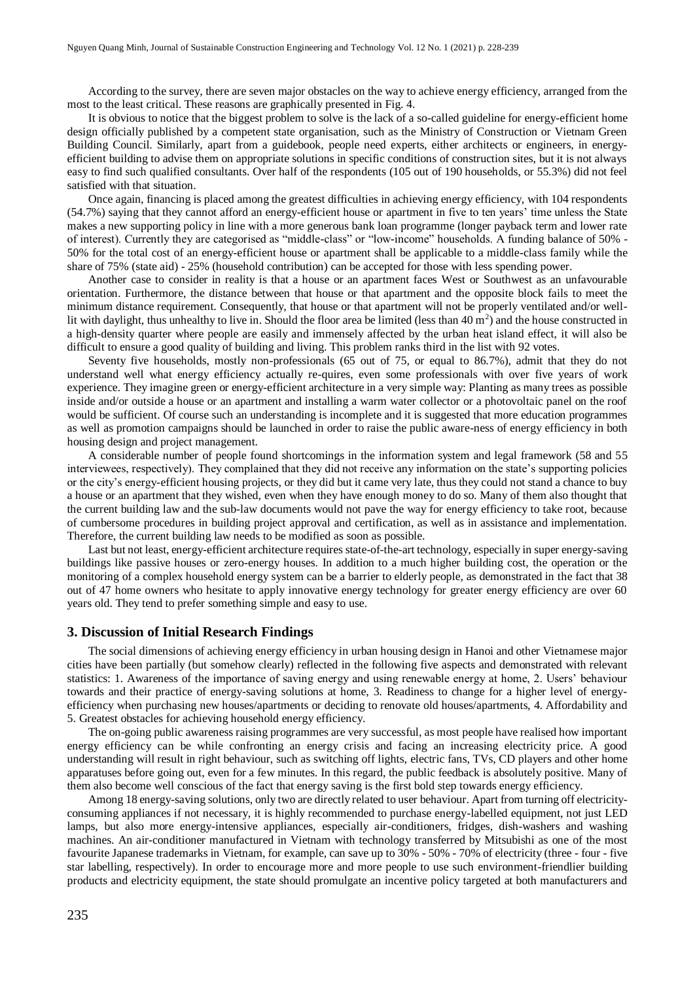According to the survey, there are seven major obstacles on the way to achieve energy efficiency, arranged from the most to the least critical. These reasons are graphically presented in Fig. 4.

It is obvious to notice that the biggest problem to solve is the lack of a so-called guideline for energy-efficient home design officially published by a competent state organisation, such as the Ministry of Construction or Vietnam Green Building Council. Similarly, apart from a guidebook, people need experts, either architects or engineers, in energyefficient building to advise them on appropriate solutions in specific conditions of construction sites, but it is not always easy to find such qualified consultants. Over half of the respondents (105 out of 190 households, or 55.3%) did not feel satisfied with that situation.

Once again, financing is placed among the greatest difficulties in achieving energy efficiency, with 104 respondents (54.7%) saying that they cannot afford an energy-efficient house or apartment in five to ten years' time unless the State makes a new supporting policy in line with a more generous bank loan programme (longer payback term and lower rate of interest). Currently they are categorised as "middle-class" or "low-income" households. A funding balance of 50% - 50% for the total cost of an energy-efficient house or apartment shall be applicable to a middle-class family while the share of 75% (state aid) - 25% (household contribution) can be accepted for those with less spending power.

Another case to consider in reality is that a house or an apartment faces West or Southwest as an unfavourable orientation. Furthermore, the distance between that house or that apartment and the opposite block fails to meet the minimum distance requirement. Consequently, that house or that apartment will not be properly ventilated and/or welllit with daylight, thus unhealthy to live in. Should the floor area be limited (less than  $40 \text{ m}^2$ ) and the house constructed in a high-density quarter where people are easily and immensely affected by the urban heat island effect, it will also be difficult to ensure a good quality of building and living. This problem ranks third in the list with 92 votes.

Seventy five households, mostly non-professionals (65 out of 75, or equal to 86.7%), admit that they do not understand well what energy efficiency actually re-quires, even some professionals with over five years of work experience. They imagine green or energy-efficient architecture in a very simple way: Planting as many trees as possible inside and/or outside a house or an apartment and installing a warm water collector or a photovoltaic panel on the roof would be sufficient. Of course such an understanding is incomplete and it is suggested that more education programmes as well as promotion campaigns should be launched in order to raise the public aware-ness of energy efficiency in both housing design and project management.

A considerable number of people found shortcomings in the information system and legal framework (58 and 55 interviewees, respectively). They complained that they did not receive any information on the state's supporting policies or the city's energy-efficient housing projects, or they did but it came very late, thus they could not stand a chance to buy a house or an apartment that they wished, even when they have enough money to do so. Many of them also thought that the current building law and the sub-law documents would not pave the way for energy efficiency to take root, because of cumbersome procedures in building project approval and certification, as well as in assistance and implementation. Therefore, the current building law needs to be modified as soon as possible.

Last but not least, energy-efficient architecture requires state-of-the-art technology, especially in super energy-saving buildings like passive houses or zero-energy houses. In addition to a much higher building cost, the operation or the monitoring of a complex household energy system can be a barrier to elderly people, as demonstrated in the fact that 38 out of 47 home owners who hesitate to apply innovative energy technology for greater energy efficiency are over 60 years old. They tend to prefer something simple and easy to use.

#### **3. Discussion of Initial Research Findings**

The social dimensions of achieving energy efficiency in urban housing design in Hanoi and other Vietnamese major cities have been partially (but somehow clearly) reflected in the following five aspects and demonstrated with relevant statistics: 1. Awareness of the importance of saving energy and using renewable energy at home, 2. Users' behaviour towards and their practice of energy-saving solutions at home, 3. Readiness to change for a higher level of energyefficiency when purchasing new houses/apartments or deciding to renovate old houses/apartments, 4. Affordability and 5. Greatest obstacles for achieving household energy efficiency.

The on-going public awareness raising programmes are very successful, as most people have realised how important energy efficiency can be while confronting an energy crisis and facing an increasing electricity price. A good understanding will result in right behaviour, such as switching off lights, electric fans, TVs, CD players and other home apparatuses before going out, even for a few minutes. In this regard, the public feedback is absolutely positive. Many of them also become well conscious of the fact that energy saving is the first bold step towards energy efficiency.

Among 18 energy-saving solutions, only two are directly related to user behaviour. Apart from turning off electricityconsuming appliances if not necessary, it is highly recommended to purchase energy-labelled equipment, not just LED lamps, but also more energy-intensive appliances, especially air-conditioners, fridges, dish-washers and washing machines. An air-conditioner manufactured in Vietnam with technology transferred by Mitsubishi as one of the most favourite Japanese trademarks in Vietnam, for example, can save up to 30% - 50% - 70% of electricity (three - four - five star labelling, respectively). In order to encourage more and more people to use such environment-friendlier building products and electricity equipment, the state should promulgate an incentive policy targeted at both manufacturers and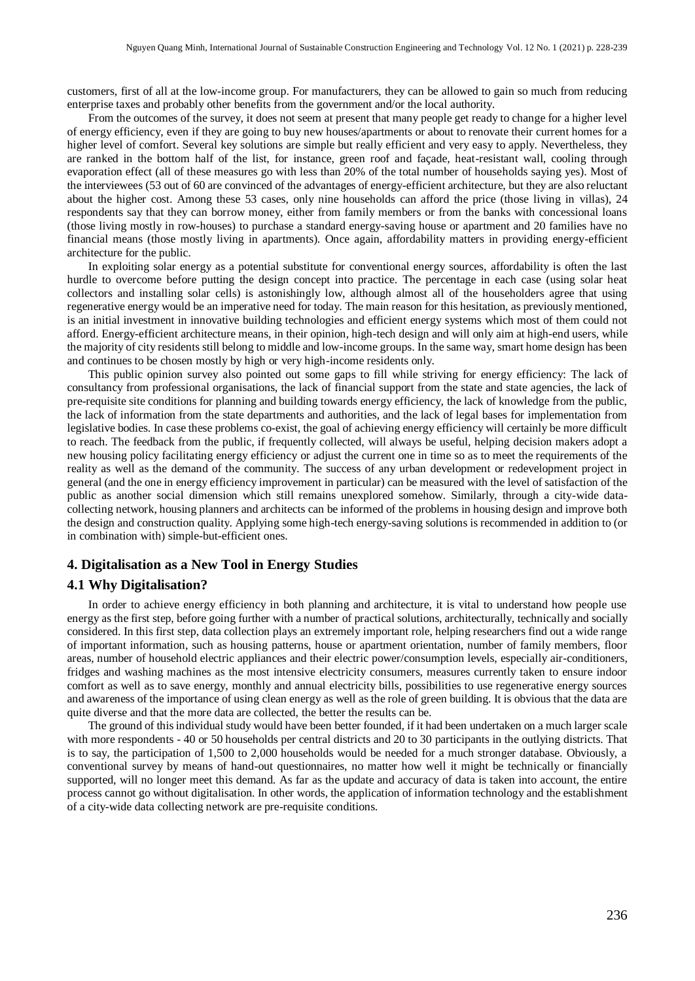customers, first of all at the low-income group. For manufacturers, they can be allowed to gain so much from reducing enterprise taxes and probably other benefits from the government and/or the local authority.

From the outcomes of the survey, it does not seem at present that many people get ready to change for a higher level of energy efficiency, even if they are going to buy new houses/apartments or about to renovate their current homes for a higher level of comfort. Several key solutions are simple but really efficient and very easy to apply. Nevertheless, they are ranked in the bottom half of the list, for instance, green roof and façade, heat-resistant wall, cooling through evaporation effect (all of these measures go with less than 20% of the total number of households saying yes). Most of the interviewees (53 out of 60 are convinced of the advantages of energy-efficient architecture, but they are also reluctant about the higher cost. Among these 53 cases, only nine households can afford the price (those living in villas), 24 respondents say that they can borrow money, either from family members or from the banks with concessional loans (those living mostly in row-houses) to purchase a standard energy-saving house or apartment and 20 families have no financial means (those mostly living in apartments). Once again, affordability matters in providing energy-efficient architecture for the public.

In exploiting solar energy as a potential substitute for conventional energy sources, affordability is often the last hurdle to overcome before putting the design concept into practice. The percentage in each case (using solar heat collectors and installing solar cells) is astonishingly low, although almost all of the householders agree that using regenerative energy would be an imperative need for today. The main reason for this hesitation, as previously mentioned, is an initial investment in innovative building technologies and efficient energy systems which most of them could not afford. Energy-efficient architecture means, in their opinion, high-tech design and will only aim at high-end users, while the majority of city residents still belong to middle and low-income groups. In the same way, smart home design has been and continues to be chosen mostly by high or very high-income residents only.

This public opinion survey also pointed out some gaps to fill while striving for energy efficiency: The lack of consultancy from professional organisations, the lack of financial support from the state and state agencies, the lack of pre-requisite site conditions for planning and building towards energy efficiency, the lack of knowledge from the public, the lack of information from the state departments and authorities, and the lack of legal bases for implementation from legislative bodies. In case these problems co-exist, the goal of achieving energy efficiency will certainly be more difficult to reach. The feedback from the public, if frequently collected, will always be useful, helping decision makers adopt a new housing policy facilitating energy efficiency or adjust the current one in time so as to meet the requirements of the reality as well as the demand of the community. The success of any urban development or redevelopment project in general (and the one in energy efficiency improvement in particular) can be measured with the level of satisfaction of the public as another social dimension which still remains unexplored somehow. Similarly, through a city-wide datacollecting network, housing planners and architects can be informed of the problems in housing design and improve both the design and construction quality. Applying some high-tech energy-saving solutions is recommended in addition to (or in combination with) simple-but-efficient ones.

#### **4. Digitalisation as a New Tool in Energy Studies**

#### **4.1 Why Digitalisation?**

In order to achieve energy efficiency in both planning and architecture, it is vital to understand how people use energy as the first step, before going further with a number of practical solutions, architecturally, technically and socially considered. In this first step, data collection plays an extremely important role, helping researchers find out a wide range of important information, such as housing patterns, house or apartment orientation, number of family members, floor areas, number of household electric appliances and their electric power/consumption levels, especially air-conditioners, fridges and washing machines as the most intensive electricity consumers, measures currently taken to ensure indoor comfort as well as to save energy, monthly and annual electricity bills, possibilities to use regenerative energy sources and awareness of the importance of using clean energy as well as the role of green building. It is obvious that the data are quite diverse and that the more data are collected, the better the results can be.

The ground of this individual study would have been better founded, if it had been undertaken on a much larger scale with more respondents - 40 or 50 households per central districts and 20 to 30 participants in the outlying districts. That is to say, the participation of 1,500 to 2,000 households would be needed for a much stronger database. Obviously, a conventional survey by means of hand-out questionnaires, no matter how well it might be technically or financially supported, will no longer meet this demand. As far as the update and accuracy of data is taken into account, the entire process cannot go without digitalisation. In other words, the application of information technology and the establishment of a city-wide data collecting network are pre-requisite conditions.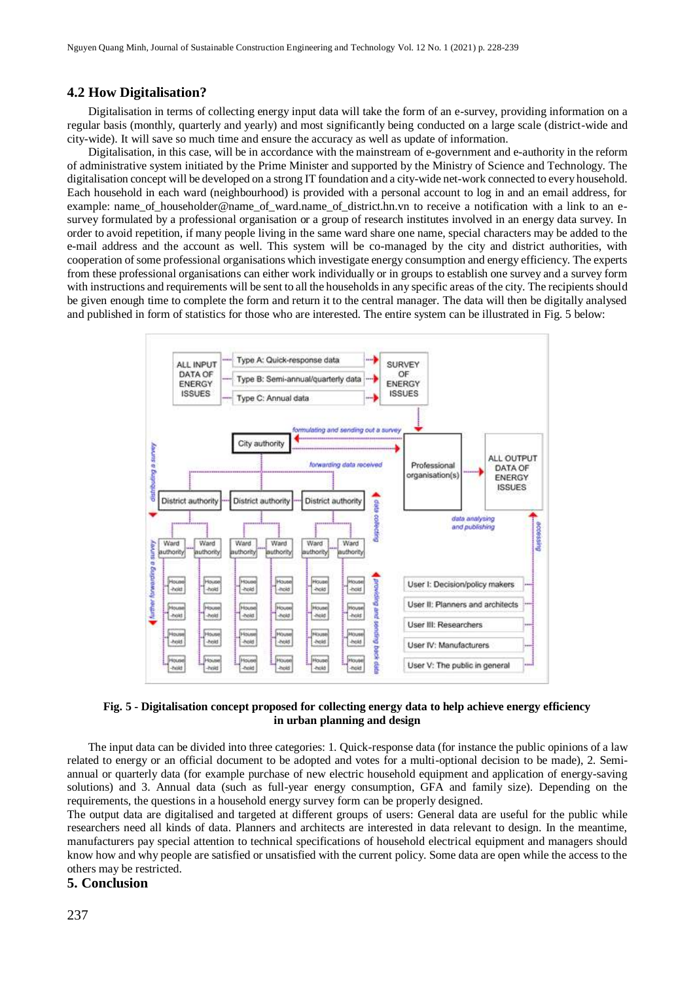#### **4.2 How Digitalisation?**

Digitalisation in terms of collecting energy input data will take the form of an e-survey, providing information on a regular basis (monthly, quarterly and yearly) and most significantly being conducted on a large scale (district-wide and city-wide). It will save so much time and ensure the accuracy as well as update of information.

Digitalisation, in this case, will be in accordance with the mainstream of e-government and e-authority in the reform of administrative system initiated by the Prime Minister and supported by the Ministry of Science and Technology. The digitalisation concept will be developed on a strong IT foundation and a city-wide net-work connected to every household. Each household in each ward (neighbourhood) is provided with a personal account to log in and an email address, for example: name of householder@name\_of\_ward.name\_of\_district.hn.vn to receive a notification with a link to an esurvey formulated by a professional organisation or a group of research institutes involved in an energy data survey. In order to avoid repetition, if many people living in the same ward share one name, special characters may be added to the e-mail address and the account as well. This system will be co-managed by the city and district authorities, with cooperation of some professional organisations which investigate energy consumption and energy efficiency. The experts from these professional organisations can either work individually or in groups to establish one survey and a survey form with instructions and requirements will be sent to all the households in any specific areas of the city. The recipients should be given enough time to complete the form and return it to the central manager. The data will then be digitally analysed and published in form of statistics for those who are interested. The entire system can be illustrated in Fig. 5 below:



**Fig. 5 - Digitalisation concept proposed for collecting energy data to help achieve energy efficiency in urban planning and design** 

The input data can be divided into three categories: 1. Quick-response data (for instance the public opinions of a law related to energy or an official document to be adopted and votes for a multi-optional decision to be made), 2. Semiannual or quarterly data (for example purchase of new electric household equipment and application of energy-saving solutions) and 3. Annual data (such as full-year energy consumption, GFA and family size). Depending on the requirements, the questions in a household energy survey form can be properly designed.

The output data are digitalised and targeted at different groups of users: General data are useful for the public while researchers need all kinds of data. Planners and architects are interested in data relevant to design. In the meantime, manufacturers pay special attention to technical specifications of household electrical equipment and managers should know how and why people are satisfied or unsatisfied with the current policy. Some data are open while the access to the others may be restricted.

#### **5. Conclusion**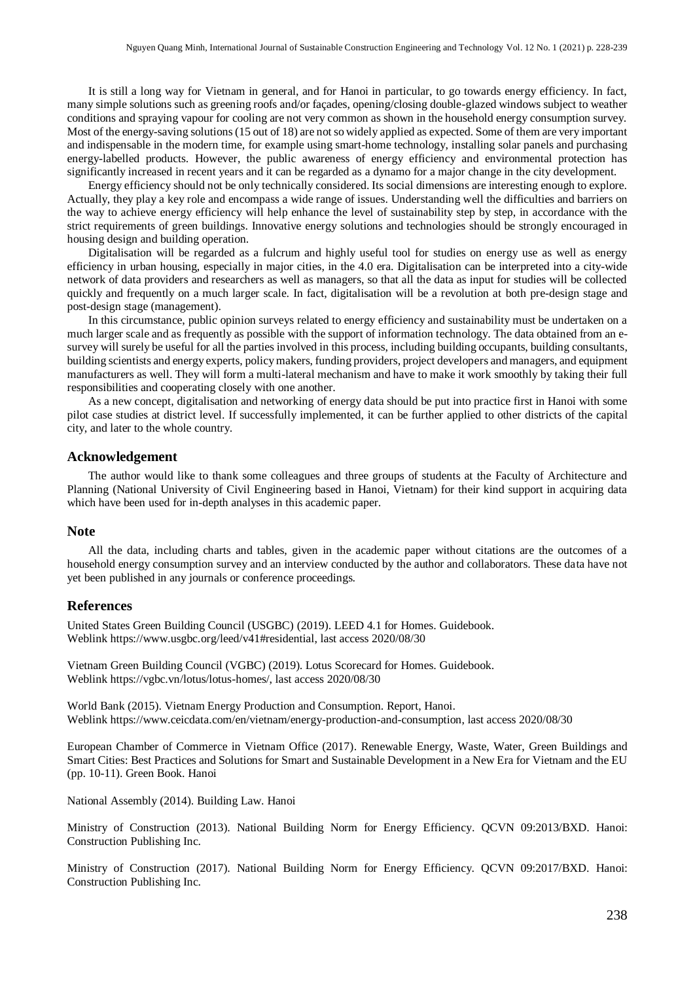It is still a long way for Vietnam in general, and for Hanoi in particular, to go towards energy efficiency. In fact, many simple solutions such as greening roofs and/or façades, opening/closing double-glazed windows subject to weather conditions and spraying vapour for cooling are not very common as shown in the household energy consumption survey. Most of the energy-saving solutions (15 out of 18) are not so widely applied as expected. Some of them are very important and indispensable in the modern time, for example using smart-home technology, installing solar panels and purchasing energy-labelled products. However, the public awareness of energy efficiency and environmental protection has significantly increased in recent years and it can be regarded as a dynamo for a major change in the city development.

Energy efficiency should not be only technically considered. Its social dimensions are interesting enough to explore. Actually, they play a key role and encompass a wide range of issues. Understanding well the difficulties and barriers on the way to achieve energy efficiency will help enhance the level of sustainability step by step, in accordance with the strict requirements of green buildings. Innovative energy solutions and technologies should be strongly encouraged in housing design and building operation.

Digitalisation will be regarded as a fulcrum and highly useful tool for studies on energy use as well as energy efficiency in urban housing, especially in major cities, in the 4.0 era. Digitalisation can be interpreted into a city-wide network of data providers and researchers as well as managers, so that all the data as input for studies will be collected quickly and frequently on a much larger scale. In fact, digitalisation will be a revolution at both pre-design stage and post-design stage (management).

In this circumstance, public opinion surveys related to energy efficiency and sustainability must be undertaken on a much larger scale and as frequently as possible with the support of information technology. The data obtained from an esurvey will surely be useful for all the parties involved in this process, including building occupants, building consultants, building scientists and energy experts, policy makers, funding providers, project developers and managers, and equipment manufacturers as well. They will form a multi-lateral mechanism and have to make it work smoothly by taking their full responsibilities and cooperating closely with one another.

As a new concept, digitalisation and networking of energy data should be put into practice first in Hanoi with some pilot case studies at district level. If successfully implemented, it can be further applied to other districts of the capital city, and later to the whole country.

#### **Acknowledgement**

The author would like to thank some colleagues and three groups of students at the Faculty of Architecture and Planning (National University of Civil Engineering based in Hanoi, Vietnam) for their kind support in acquiring data which have been used for in-depth analyses in this academic paper.

#### **Note**

All the data, including charts and tables, given in the academic paper without citations are the outcomes of a household energy consumption survey and an interview conducted by the author and collaborators. These data have not yet been published in any journals or conference proceedings.

#### **References**

United States Green Building Council (USGBC) (2019). LEED 4.1 for Homes. Guidebook. Weblin[k https://www.usgbc.org/leed/v41#residential,](https://www.usgbc.org/leed/v41#residential) last access 2020/08/30

Vietnam Green Building Council (VGBC) (2019). Lotus Scorecard for Homes. Guidebook. Weblin[k https://vgbc.vn/lotus/lotus-homes/,](https://vgbc.vn/lotus/lotus-homes/) last access 2020/08/30

World Bank (2015). Vietnam Energy Production and Consumption. Report, Hanoi. Weblin[k https://www.ceicdata.com/en/vietnam/energy-production-and-consumption,](https://www.ceicdata.com/en/vietnam/energy-production-and-consumption) last access 2020/08/30

European Chamber of Commerce in Vietnam Office (2017). Renewable Energy, Waste, Water, Green Buildings and Smart Cities: Best Practices and Solutions for Smart and Sustainable Development in a New Era for Vietnam and the EU (pp. 10-11). Green Book. Hanoi

National Assembly (2014). Building Law. Hanoi

Ministry of Construction (2013). National Building Norm for Energy Efficiency. QCVN 09:2013/BXD. Hanoi: Construction Publishing Inc.

Ministry of Construction (2017). National Building Norm for Energy Efficiency. QCVN 09:2017/BXD. Hanoi: Construction Publishing Inc.